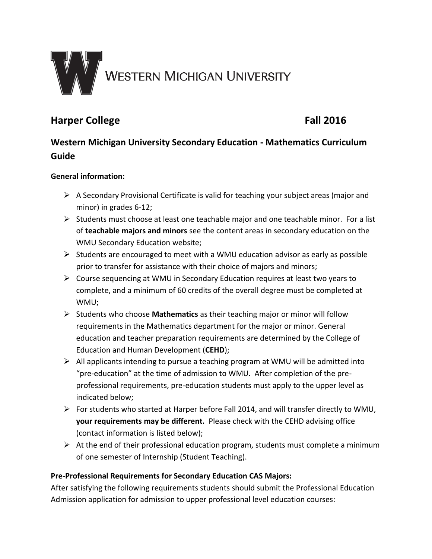

# **Harper College Fall 2016**

# **Western Michigan University Secondary Education - Mathematics Curriculum Guide**

# **General information:**

- $\triangleright$  A Secondary Provisional Certificate is valid for teaching your subject areas (major and minor) in grades 6-12;
- $\triangleright$  Students must choose at least one teachable major and one teachable minor. For a list of **teachable majors and minors** see the content areas in secondary education on the WMU Secondary Education website;
- $\triangleright$  Students are encouraged to meet with a WMU education advisor as early as possible prior to transfer for assistance with their choice of majors and minors;
- Course sequencing at WMU in Secondary Education requires at least two years to complete, and a minimum of 60 credits of the overall degree must be completed at WMU;
- Students who choose **Mathematics** as their teaching major or minor will follow requirements in the Mathematics department for the major or minor. General education and teacher preparation requirements are determined by the College of Education and Human Development (**CEHD**);
- $\triangleright$  All applicants intending to pursue a teaching program at WMU will be admitted into "pre-education" at the time of admission to WMU. After completion of the preprofessional requirements, pre-education students must apply to the upper level as indicated below;
- $\triangleright$  For students who started at Harper before Fall 2014, and will transfer directly to WMU, **your requirements may be different.** Please check with the CEHD advising office (contact information is listed below);
- $\triangleright$  At the end of their professional education program, students must complete a minimum of one semester of Internship (Student Teaching).

# **Pre-Professional Requirements for Secondary Education CAS Majors:**

After satisfying the following requirements students should submit the Professional Education Admission application for admission to upper professional level education courses: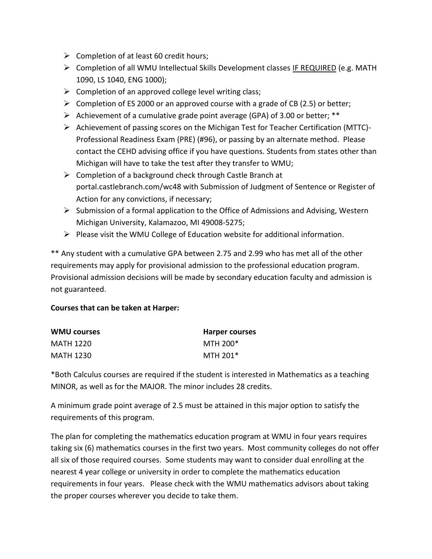- $\triangleright$  Completion of at least 60 credit hours;
- $\triangleright$  Completion of all WMU Intellectual Skills Development classes IF REQUIRED (e.g. MATH 1090, LS 1040, ENG 1000);
- $\triangleright$  Completion of an approved college level writing class;
- $\triangleright$  Completion of ES 2000 or an approved course with a grade of CB (2.5) or better;
- $\triangleright$  Achievement of a cumulative grade point average (GPA) of 3.00 or better; \*\*
- Achievement of passing scores on the Michigan Test for Teacher Certification (MTTC)- Professional Readiness Exam (PRE) (#96), or passing by an alternate method. Please contact the CEHD advising office if you have questions. Students from states other than Michigan will have to take the test after they transfer to WMU;
- $\triangleright$  Completion of a background check through Castle Branch at portal.castlebranch.com/wc48 with Submission of Judgment of Sentence or Register of Action for any convictions, if necessary;
- $\triangleright$  Submission of a formal application to the Office of Admissions and Advising, Western Michigan University, Kalamazoo, MI 49008-5275;
- $\triangleright$  Please visit the WMU College of Education website for additional information.

\*\* Any student with a cumulative GPA between 2.75 and 2.99 who has met all of the other requirements may apply for provisional admission to the professional education program. Provisional admission decisions will be made by secondary education faculty and admission is not guaranteed.

## **Courses that can be taken at Harper:**

| <b>WMU courses</b> | <b>Harper courses</b> |
|--------------------|-----------------------|
| MATH 1220          | MTH 200*              |
| MATH 1230          | MTH 201*              |

\*Both Calculus courses are required if the student is interested in Mathematics as a teaching MINOR, as well as for the MAJOR. The minor includes 28 credits.

A minimum grade point average of 2.5 must be attained in this major option to satisfy the requirements of this program.

The plan for completing the mathematics education program at WMU in four years requires taking six (6) mathematics courses in the first two years. Most community colleges do not offer all six of those required courses. Some students may want to consider dual enrolling at the nearest 4 year college or university in order to complete the mathematics education requirements in four years. Please check with the WMU mathematics advisors about taking the proper courses wherever you decide to take them.